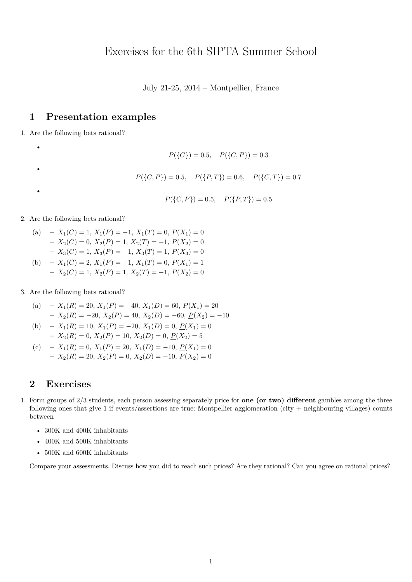July 21-25, 2014 – Montpellier, France

## **1 Presentation examples**

1. Are the following bets rational?

•

 $P({C}) = 0.5, P({C, P}) = 0.3$ •  $P({C, P}) = 0.5$ ,  $P({P, T}) = 0.6$ ,  $P({C, T}) = 0.7$ •  $P({C, P}) = 0.5, P({P, T}) = 0.5$ 

2. Are the following bets rational?

- (a)  $-X_1(C) = 1$ ,  $X_1(P) = -1$ ,  $X_1(T) = 0$ ,  $P(X_1) = 0$  $X_2(C) = 0, X_2(P) = 1, X_2(T) = -1, P(X_2) = 0$ **–** *X*3(*C*) = 1, *X*3(*P*) = −1, *X*3(*T*) = 1, *P*(*X*3) = 0
- (b)  $X_1(C) = 2, X_1(P) = -1, X_1(T) = 0, P(X_1) = 1$ 
	- $X_2(C) = 1, X_2(P) = 1, X_2(T) = -1, P(X_2) = 0$
- 3. Are the following bets rational?

(a) 
$$
-X_1(R) = 20, X_1(P) = -40, X_1(D) = 60, P(X_1) = 20
$$

$$
-X_2(R) = -20, X_2(P) = 40, X_2(D) = -60, P(X_2) = -10
$$

(b) 
$$
-X_1(R) = 10, X_1(P) = -20, X_1(D) = 0, \underline{P}(X_1) = 0
$$

$$
-X_2(R) = 0, X_2(P) = 10, X_2(D) = 0, \underline{P}(X_2) = 5
$$

(c) 
$$
-X_1(R) = 0, X_1(P) = 20, X_1(D) = -10, P(X_1) = 0
$$
  
 $-X_2(R) = 20, X_2(P) = 0, X_2(D) = -10, P(X_2) = 0$ 

## **2 Exercises**

- 1. Form groups of 2/3 students, each person assessing separately price for **one (or two) different** gambles among the three following ones that give 1 if events/assertions are true: Montpellier agglomeration (city + neighbouring villages) counts between
	- 300K and 400K inhabitants
	- 400K and 500K inhabitants
	- 500K and 600K inhabitants

Compare your assessments. Discuss how you did to reach such prices? Are they rational? Can you agree on rational prices?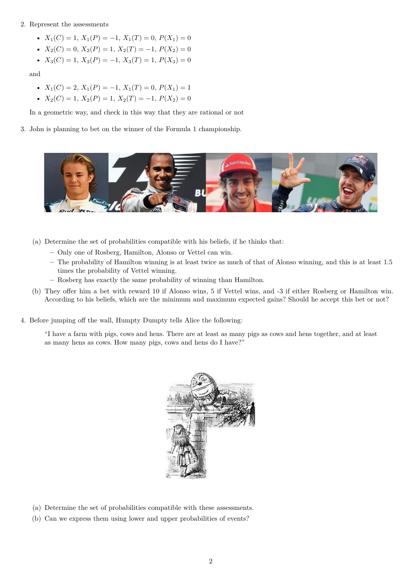## 2. Represent the assessments

- $X_1(C) = 1, X_1(P) = -1, X_1(T) = 0, P(X_1) = 0$
- $X_2(C) = 0, X_2(P) = 1, X_2(T) = -1, P(X_2) = 0$
- $X_3(C) = 1, X_3(P) = -1, X_3(T) = 1, P(X_3) = 0$

and

- $X_1(C) = 2$ ,  $X_1(P) = -1$ ,  $X_1(T) = 0$ ,  $P(X_1) = 1$
- $X_2(C) = 1, X_2(P) = 1, X_2(T) = -1, P(X_2) = 0$

In a geometric way, and check in this way that they are rational or not

3. John is planning to bet on the winner of the Formula 1 championship.



- (a) Determine the set of probabilities compatible with his beliefs, if he thinks that:
	- **–** Only one of Rosberg, Hamilton, Alonso or Vettel can win.
	- **–** The probability of Hamilton winning is at least twice as much of that of Alonso winning, and this is at least 1.5 times the probability of Vettel winning.
	- **–** Rosberg has exactly the same probability of winning than Hamilton.
- (b) They offer him a bet with reward 10 if Alonso wins, 5 if Vettel wins, and -3 if either Rosberg or Hamilton win. According to his beliefs, which are the minimum and maximum expected gains? Should he accept this bet or not?
- 4. Before jumping off the wall, Humpty Dumpty tells Alice the following:

"I have a farm with pigs, cows and hens. There are at least as many pigs as cows and hens together, and at least as many hens as cows. How many pigs, cows and hens do I have?"



- (a) Determine the set of probabilities compatible with these assessments.
- (b) Can we express them using lower and upper probabilities of events?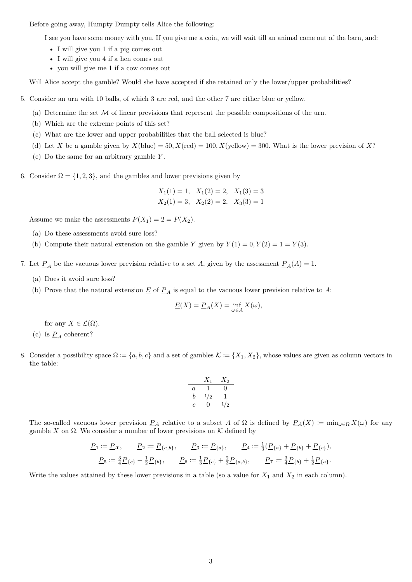Before going away, Humpty Dumpty tells Alice the following:

I see you have some money with you. If you give me a coin, we will wait till an animal come out of the barn, and:

- I will give you 1 if a pig comes out
- I will give you 4 if a hen comes out
- you will give me 1 if a cow comes out

Will Alice accept the gamble? Would she have accepted if she retained only the lower/upper probabilities?

- 5. Consider an urn with 10 balls, of which 3 are red, and the other 7 are either blue or yellow.
	- (a) Determine the set  $M$  of linear previsions that represent the possible compositions of the urn.
	- (b) Which are the extreme points of this set?
	- (c) What are the lower and upper probabilities that the ball selected is blue?
	- (d) Let *X* be a gamble given by  $X(\text{blue}) = 50$ ,  $X(\text{red}) = 100$ ,  $X(\text{yellow}) = 300$ . What is the lower prevision of *X*?
	- (e) Do the same for an arbitrary gamble *Y* .
- 6. Consider  $\Omega = \{1, 2, 3\}$ , and the gambles and lower previsions given by

$$
X_1(1) = 1
$$
,  $X_1(2) = 2$ ,  $X_1(3) = 3$   
\n $X_2(1) = 3$ ,  $X_2(2) = 2$ ,  $X_3(3) = 1$ 

Assume we make the assessments  $P(X_1) = 2 = P(X_2)$ .

- (a) Do these assessments avoid sure loss?
- (b) Compute their natural extension on the gamble *Y* given by  $Y(1) = 0, Y(2) = 1 = Y(3)$ .
- 7. Let  $\underline{P}_A$  be the vacuous lower prevision relative to a set *A*, given by the assessment  $\underline{P}_A(A) = 1$ .
	- (a) Does it avoid sure loss?
	- (b) Prove that the natural extension  $\underline{E}$  of  $\underline{P}_A$  is equal to the vacuous lower prevision relative to A:

$$
\underline{E}(X) = \underline{P}_A(X) = \inf_{\omega \in A} X(\omega),
$$

for any  $X \in \mathcal{L}(\Omega)$ .

- (c) Is  $P_A$  coherent?
- 8. Consider a possibility space  $\Omega := \{a, b, c\}$  and a set of gambles  $\mathcal{K} := \{X_1, X_2\}$ , whose values are given as column vectors in the table:

$$
\begin{array}{ccc}\nX_1 & X_2 \\
a & 1 & 0 \\
b & \frac{1}{2} & 1 \\
c & 0 & \frac{1}{2}\n\end{array}
$$

The so-called vacuous lower prevision  $P_A$  relative to a subset A of  $\Omega$  is defined by  $P_A(X) \coloneqq \min_{\omega \in \Omega} X(\omega)$  for any gamble *X* on  $\Omega$ . We consider a number of lower previsions on  $\mathcal K$  defined by

$$
\underline{P}_1 := \underline{P}_X, \qquad \underline{P}_2 := \underline{P}_{\{a,b\}}, \qquad \underline{P}_3 := \underline{P}_{\{a\}}, \qquad \underline{P}_4 := \frac{1}{3}(\underline{P}_{\{a\}} + \underline{P}_{\{b\}} + \underline{P}_{\{c\}}),
$$

$$
\underline{P}_5 := \frac{3}{4}\underline{P}_{\{c\}} + \frac{1}{2}\underline{P}_{\{b\}}, \qquad \underline{P}_6 := \frac{1}{3}\underline{P}_{\{c\}} + \frac{2}{3}\underline{P}_{\{a,b\}}, \qquad \underline{P}_7 := \frac{3}{4}\underline{P}_{\{b\}} + \frac{1}{2}\underline{P}_{\{a\}}.
$$

Write the values attained by these lower previsions in a table (so a value for  $X_1$  and  $X_2$  in each column).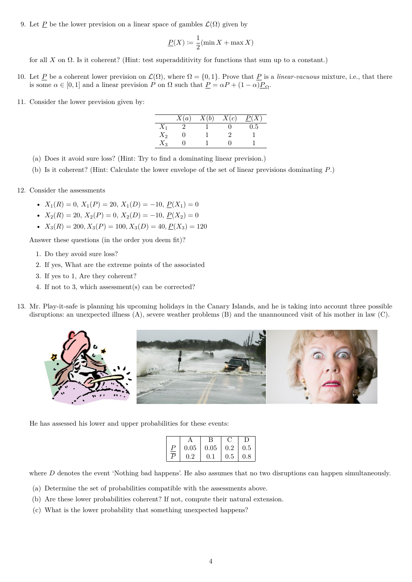9. Let  $\underline{P}$  be the lower prevision on a linear space of gambles  $\mathcal{L}(\Omega)$  given by

$$
\underline{P}(X) \coloneqq \frac{1}{2}(\min X + \max X)
$$

for all *X* on  $\Omega$ . Is it coherent? (Hint: test superadditivity for functions that sum up to a constant.)

- 10. Let P be a coherent lower prevision on  $\mathcal{L}(\Omega)$ , where  $\Omega = \{0, 1\}$ . Prove that P is a *linear-vacuous* mixture, i.e., that there is some  $\alpha \in [0,1]$  and a linear prevision *P* on  $\Omega$  such that  $\underline{P} = \alpha P + (1-\alpha)\underline{P}_{\Omega}$ .
- 11. Consider the lower prevision given by:

|       | X(a) | X(b) | X(c) | $\underline{P}(X)$ |
|-------|------|------|------|--------------------|
| $X_1$ |      |      |      | 0.5                |
| $X_2$ | 0    |      |      |                    |
| $X_3$ |      |      |      |                    |

- (a) Does it avoid sure loss? (Hint: Try to find a dominating linear prevision.)
- (b) Is it coherent? (Hint: Calculate the lower envelope of the set of linear previsions dominating *P*.)

## 12. Consider the assessments

- $X_1(R) = 0$ ,  $X_1(P) = 20$ ,  $X_1(D) = -10$ ,  $P(X_1) = 0$
- $X_2(R) = 20$ ,  $X_2(P) = 0$ ,  $X_2(D) = -10$ ,  $P(X_2) = 0$
- $X_3(R) = 200, X_3(P) = 100, X_3(D) = 40, P(X_3) = 120$

Answer these questions (in the order you deem fit)?

- 1. Do they avoid sure loss?
- 2. If yes, What are the extreme points of the associated
- 3. If yes to 1, Are they coherent?
- 4. If not to 3, which assessment(s) can be corrected?
- 13. Mr. Play-it-safe is planning his upcoming holidays in the Canary Islands, and he is taking into account three possible disruptions: an unexpected illness (A), severe weather problems (B) and the unannounced visit of his mother in law (C).



He has assessed his lower and upper probabilities for these events:

|                                      |     | $0.05 \pm 0.05$ | $0.2 \pm 0.5$ |     |
|--------------------------------------|-----|-----------------|---------------|-----|
| $\overline{\rm\scriptscriptstyle D}$ | 0.2 | 0.1             | 0.5           | 0.8 |

where *D* denotes the event 'Nothing bad happens'. He also assumes that no two disruptions can happen simultaneously.

- (a) Determine the set of probabilities compatible with the assessments above.
- (b) Are these lower probabilities coherent? If not, compute their natural extension.
- (c) What is the lower probability that something unexpected happens?